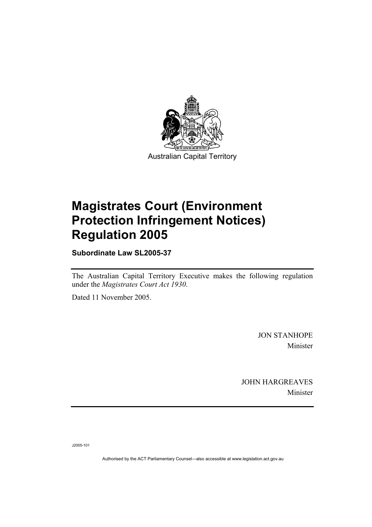

# **Magistrates Court (Environment Protection Infringement Notices) Regulation 2005**

**Subordinate Law SL2005-37** 

The Australian Capital Territory Executive makes the following regulation under the *Magistrates Court Act 1930*.

Dated 11 November 2005.

JON STANHOPE Minister

JOHN HARGREAVES Minister

J2005-101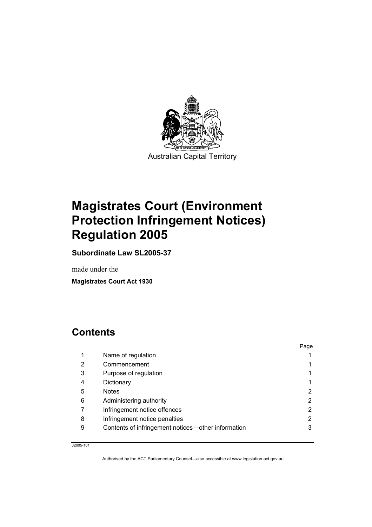

# **Magistrates Court (Environment Protection Infringement Notices) Regulation 2005**

**Subordinate Law SL2005-37** 

made under the

**Magistrates Court Act 1930** 

# **Contents**

|   |                                                    | Page |
|---|----------------------------------------------------|------|
| 1 | Name of regulation                                 |      |
| 2 | Commencement                                       |      |
| 3 | Purpose of regulation                              |      |
| 4 | Dictionary                                         |      |
| 5 | <b>Notes</b>                                       | 2    |
| 6 | Administering authority                            | 2    |
|   | Infringement notice offences                       | 2    |
| 8 | Infringement notice penalties                      | 2    |
| 9 | Contents of infringement notices—other information | 3    |

J2005-101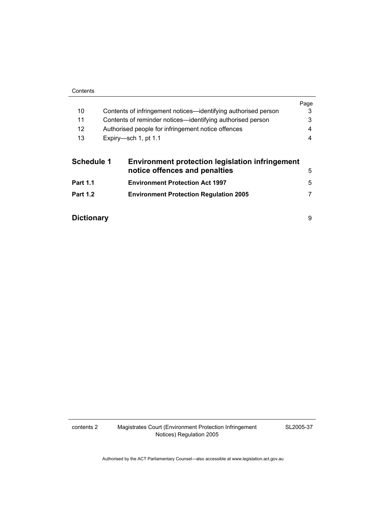|                   |                                                                | Page |
|-------------------|----------------------------------------------------------------|------|
| 10                | Contents of infringement notices—identifying authorised person | 3    |
| 11                | Contents of reminder notices—identifying authorised person     | 3    |
| $12 \overline{ }$ | Authorised people for infringement notice offences             | 4    |
| 13                | Expiry-sch 1, pt 1.1                                           | 4    |
| <b>Schedule 1</b> | <b>Environment protection legislation infringement</b>         |      |
|                   | notice offences and penalties                                  | 5    |
| <b>Part 1.1</b>   | <b>Environment Protection Act 1997</b>                         | 5    |
| <b>Part 1.2</b>   | <b>Environment Protection Regulation 2005</b>                  |      |

**Dictionary** 9

contents 2 Magistrates Court (Environment Protection Infringement Notices) Regulation 2005

SL2005-37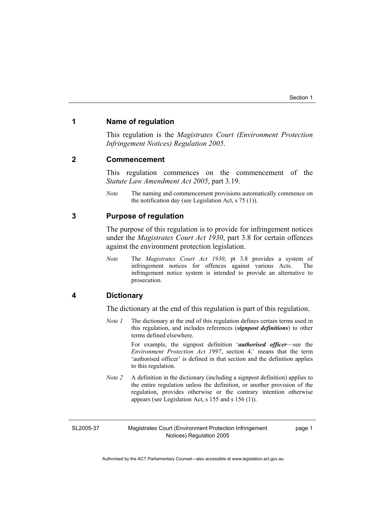### **1 Name of regulation**

This regulation is the *Magistrates Court (Environment Protection Infringement Notices) Regulation 2005*.

#### **2 Commencement**

This regulation commences on the commencement of the *Statute Law Amendment Act 2005*, part 3.19.

*Note* The naming and commencement provisions automatically commence on the notification day (see Legislation Act, s 75 (1)).

#### **3 Purpose of regulation**

The purpose of this regulation is to provide for infringement notices under the *Magistrates Court Act 1930*, part 3.8 for certain offences against the environment protection legislation.

*Note* The *Magistrates Court Act 1930*, pt 3.8 provides a system of infringement notices for offences against various Acts. The infringement notice system is intended to provide an alternative to prosecution.

### **4 Dictionary**

The dictionary at the end of this regulation is part of this regulation.

*Note 1* The dictionary at the end of this regulation defines certain terms used in this regulation, and includes references (*signpost definitions*) to other terms defined elsewhere.

> For example, the signpost definition '*authorised officer*—see the *Environment Protection Act 1997*, section 4.' means that the term 'authorised officer' is defined in that section and the definition applies to this regulation.

*Note 2* A definition in the dictionary (including a signpost definition) applies to the entire regulation unless the definition, or another provision of the regulation, provides otherwise or the contrary intention otherwise appears (see Legislation Act, s 155 and s 156 (1)).

SL2005-37

Magistrates Court (Environment Protection Infringement Notices) Regulation 2005

page 1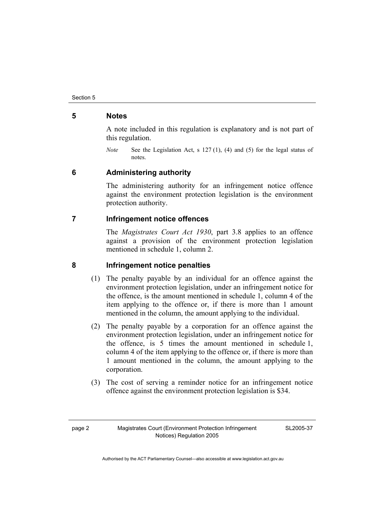### **5 Notes**

A note included in this regulation is explanatory and is not part of this regulation.

*Note* See the Legislation Act, s 127 (1), (4) and (5) for the legal status of notes.

### **6 Administering authority**

The administering authority for an infringement notice offence against the environment protection legislation is the environment protection authority.

## **7 Infringement notice offences**

The *Magistrates Court Act 1930*, part 3.8 applies to an offence against a provision of the environment protection legislation mentioned in schedule 1, column 2.

### **8 Infringement notice penalties**

- (1) The penalty payable by an individual for an offence against the environment protection legislation, under an infringement notice for the offence, is the amount mentioned in schedule 1, column 4 of the item applying to the offence or, if there is more than 1 amount mentioned in the column, the amount applying to the individual.
- (2) The penalty payable by a corporation for an offence against the environment protection legislation, under an infringement notice for the offence, is 5 times the amount mentioned in schedule 1, column 4 of the item applying to the offence or, if there is more than 1 amount mentioned in the column, the amount applying to the corporation.
- (3) The cost of serving a reminder notice for an infringement notice offence against the environment protection legislation is \$34.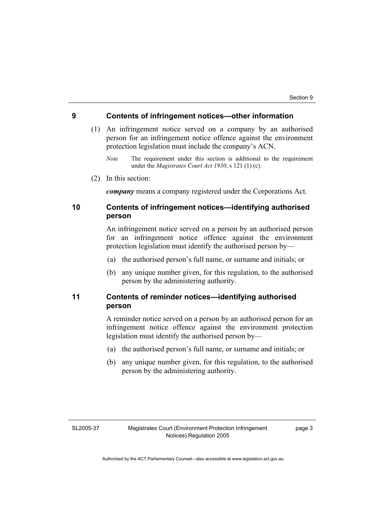#### **9 Contents of infringement notices—other information**

- (1) An infringement notice served on a company by an authorised person for an infringement notice offence against the environment protection legislation must include the company's ACN.
	- *Note* The requirement under this section is additional to the requirement under the *Magistrates Court Act 1930*, s 121 (1) (c).
- (2) In this section:

*company* means a company registered under the Corporations Act.

## **10 Contents of infringement notices—identifying authorised person**

An infringement notice served on a person by an authorised person for an infringement notice offence against the environment protection legislation must identify the authorised person by—

- (a) the authorised person's full name, or surname and initials; or
- (b) any unique number given, for this regulation, to the authorised person by the administering authority.

### **11 Contents of reminder notices—identifying authorised person**

A reminder notice served on a person by an authorised person for an infringement notice offence against the environment protection legislation must identify the authorised person by—

- (a) the authorised person's full name, or surname and initials; or
- (b) any unique number given, for this regulation, to the authorised person by the administering authority.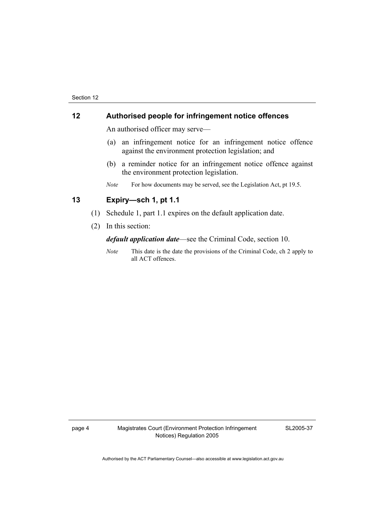### **12 Authorised people for infringement notice offences**

An authorised officer may serve—

- (a) an infringement notice for an infringement notice offence against the environment protection legislation; and
- (b) a reminder notice for an infringement notice offence against the environment protection legislation.
- *Note* For how documents may be served, see the Legislation Act, pt 19.5.

# **13 Expiry—sch 1, pt 1.1**

- (1) Schedule 1, part 1.1 expires on the default application date.
- (2) In this section:

*default application date*—see the Criminal Code, section 10.

*Note* This date is the date the provisions of the Criminal Code, ch 2 apply to all ACT offences.

page 4 Magistrates Court (Environment Protection Infringement Notices) Regulation 2005

SL2005-37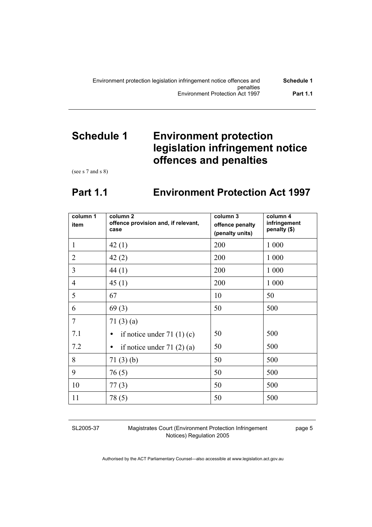# **Schedule 1 Environment protection legislation infringement notice offences and penalties**

(see s 7 and s 8)

# **Part 1.1 Environment Protection Act 1997**

| column 1<br>item | column <sub>2</sub><br>offence provision and, if relevant,<br>case | column 3<br>offence penalty<br>(penalty units) | column 4<br>infringement<br>penalty (\$) |
|------------------|--------------------------------------------------------------------|------------------------------------------------|------------------------------------------|
| $\mathbf{1}$     | 42(1)                                                              | 200                                            | 1 0 0 0                                  |
| $\overline{2}$   | 42(2)                                                              | 200                                            | 1 0 0 0                                  |
| $\overline{3}$   | 44 (1)                                                             | 200                                            | 1 0 0 0                                  |
| $\overline{4}$   | 45(1)                                                              | 200                                            | 1 0 0 0                                  |
| 5                | 67                                                                 | 10                                             | 50                                       |
| 6                | 69(3)                                                              | 50                                             | 500                                      |
| $\overline{7}$   | 71(3)(a)                                                           |                                                |                                          |
| 7.1              | if notice under $71(1)(c)$                                         | 50                                             | 500                                      |
| 7.2              | if notice under $71(2)(a)$<br>$\bullet$                            | 50                                             | 500                                      |
| 8                | 71(3)(b)                                                           | 50                                             | 500                                      |
| 9                | 76(5)                                                              | 50                                             | 500                                      |
| 10               | 77(3)                                                              | 50                                             | 500                                      |
| 11               | 78(5)                                                              | 50                                             | 500                                      |

SL2005-37

Magistrates Court (Environment Protection Infringement Notices) Regulation 2005

page 5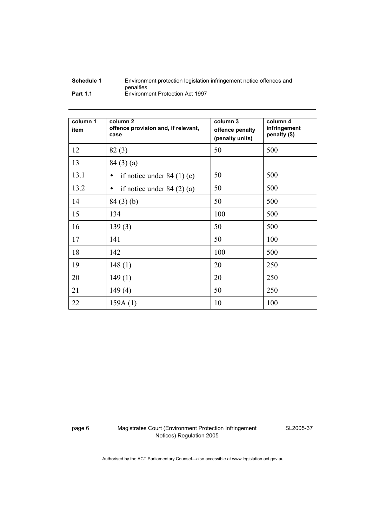| Schedule 1      | Environment protection legislation infringement notice offences and |
|-----------------|---------------------------------------------------------------------|
|                 | penalties                                                           |
| <b>Part 1.1</b> | Environment Protection Act 1997                                     |

| column 1<br>item | column <sub>2</sub><br>offence provision and, if relevant,<br>case | column 3<br>offence penalty<br>(penalty units) | column 4<br>infringement<br>penalty (\$) |
|------------------|--------------------------------------------------------------------|------------------------------------------------|------------------------------------------|
| 12               | 82(3)                                                              | 50                                             | 500                                      |
| 13               | 84(3)(a)                                                           |                                                |                                          |
| 13.1             | if notice under $84(1)(c)$<br>$\bullet$                            | 50                                             | 500                                      |
| 13.2             | if notice under $84(2)(a)$<br>$\bullet$                            | 50                                             | 500                                      |
| 14               | 84(3)(b)                                                           | 50                                             | 500                                      |
| 15               | 134                                                                | 100                                            | 500                                      |
| 16               | 139(3)                                                             | 50                                             | 500                                      |
| 17               | 141                                                                | 50                                             | 100                                      |
| 18               | 142                                                                | 100                                            | 500                                      |
| 19               | 148(1)                                                             | 20                                             | 250                                      |
| 20               | 149(1)                                                             | 20                                             | 250                                      |
| 21               | 149(4)                                                             | 50                                             | 250                                      |
| 22               | 159A(1)                                                            | 10                                             | 100                                      |

page 6 Magistrates Court (Environment Protection Infringement Notices) Regulation 2005

SL2005-37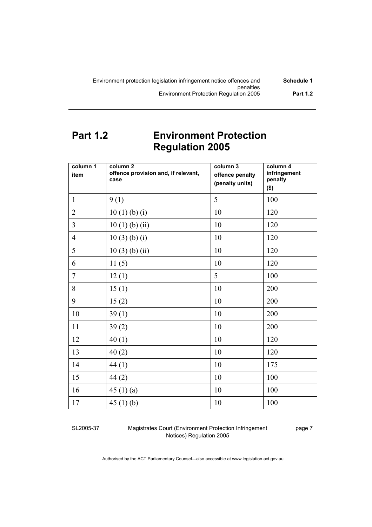# **Part 1.2 Environment Protection Regulation 2005**

| column 1<br>item | column 2<br>offence provision and, if relevant,<br>case | column 3<br>offence penalty<br>(penalty units) | column 4<br>infringement<br>penalty<br>\$) |
|------------------|---------------------------------------------------------|------------------------------------------------|--------------------------------------------|
| $\mathbf{1}$     | 9(1)                                                    | 5                                              | 100                                        |
| $\overline{2}$   | 10(1)(b)(i)                                             | 10                                             | 120                                        |
| $\overline{3}$   | 10(1)(b)(ii)                                            | 10                                             | 120                                        |
| $\overline{4}$   | 10(3)(b)(i)                                             | 10                                             | 120                                        |
| 5                | $10(3)$ (b) (ii)                                        | 10                                             | 120                                        |
| 6                | 11(5)                                                   | 10                                             | 120                                        |
| $\overline{7}$   | 12(1)                                                   | 5                                              | 100                                        |
| 8                | 15(1)                                                   | 10                                             | 200                                        |
| 9                | 15(2)                                                   | 10                                             | 200                                        |
| 10               | 39(1)                                                   | 10                                             | 200                                        |
| 11               | 39(2)                                                   | 10                                             | 200                                        |
| 12               | 40(1)                                                   | 10                                             | 120                                        |
| 13               | 40(2)                                                   | 10                                             | 120                                        |
| 14               | 44(1)                                                   | 10                                             | 175                                        |
| 15               | 44(2)                                                   | 10                                             | 100                                        |
| 16               | 45(1)(a)                                                | 10                                             | 100                                        |
| 17               | 45(1)(b)                                                | 10                                             | 100                                        |

SL2005-37

Magistrates Court (Environment Protection Infringement Notices) Regulation 2005

page 7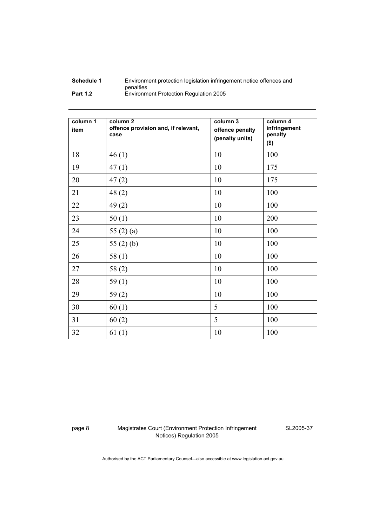| Schedule 1      | Environment protection legislation infringement notice offences and |
|-----------------|---------------------------------------------------------------------|
|                 | penalties                                                           |
| <b>Part 1.2</b> | Environment Protection Regulation 2005                              |

| column 1<br>item | column <sub>2</sub><br>offence provision and, if relevant,<br>case | column 3<br>offence penalty<br>(penalty units) | column 4<br>infringement<br>penalty<br>$($ \$) |
|------------------|--------------------------------------------------------------------|------------------------------------------------|------------------------------------------------|
| 18               | 46(1)                                                              | 10                                             | 100                                            |
| 19               | 47(1)                                                              | 10                                             | 175                                            |
| 20               | 47(2)                                                              | 10                                             | 175                                            |
| 21               | 48(2)                                                              | 10                                             | 100                                            |
| 22               | 49(2)                                                              | 10                                             | 100                                            |
| 23               | 50(1)                                                              | 10                                             | 200                                            |
| 24               | 55 $(2)$ $(a)$                                                     | 10                                             | 100                                            |
| 25               | 55 $(2)$ $(b)$                                                     | 10                                             | 100                                            |
| 26               | 58(1)                                                              | 10                                             | 100                                            |
| 27               | 58(2)                                                              | 10                                             | 100                                            |
| 28               | 59(1)                                                              | 10                                             | 100                                            |
| 29               | 59(2)                                                              | 10                                             | 100                                            |
| 30               | 60(1)                                                              | 5                                              | 100                                            |
| 31               | 60(2)                                                              | 5                                              | 100                                            |
| 32               | 61(1)                                                              | 10                                             | 100                                            |

page 8 Magistrates Court (Environment Protection Infringement Notices) Regulation 2005

SL2005-37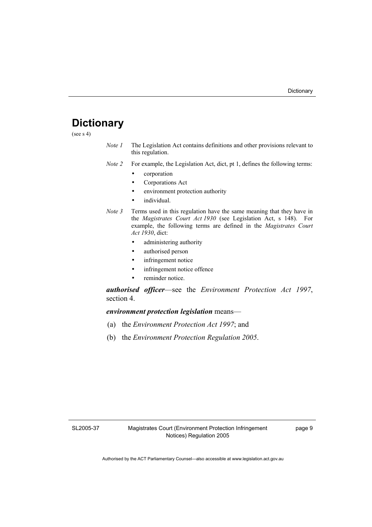# **Dictionary**

(see  $s$  4)

- *Note 1* The Legislation Act contains definitions and other provisions relevant to this regulation.
- *Note 2* For example, the Legislation Act, dict, pt 1, defines the following terms:
	- corporation
	- Corporations Act
	- environment protection authority
	- individual.
- *Note 3* Terms used in this regulation have the same meaning that they have in the *Magistrates Court Act 1930* (see Legislation Act, s 148). For example, the following terms are defined in the *Magistrates Court Act 1930*, dict:
	- administering authority
	- authorised person
	- infringement notice
	- infringement notice offence
	- reminder notice.

*authorised officer*—see the *Environment Protection Act 1997*, section 4.

### *environment protection legislation* means—

- (a) the *Environment Protection Act 1997*; and
- (b) the *Environment Protection Regulation 2005*.

SL2005-37

page 9